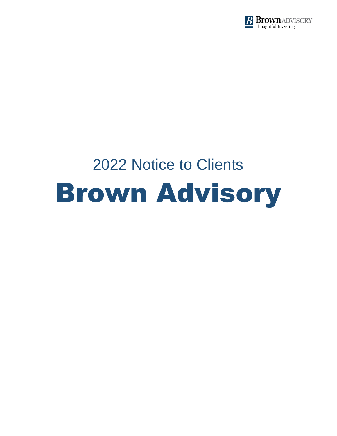

# 2022 Notice to Clients Brown Advisory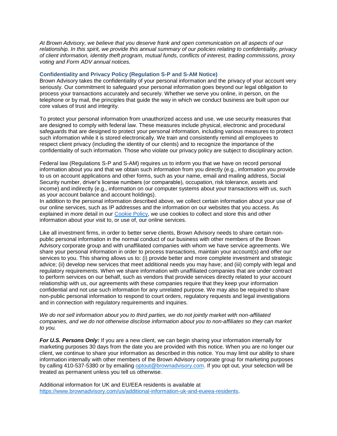*At Brown Advisory, we believe that you deserve frank and open communication on all aspects of our relationship. In this spirit, we provide this annual summary of our policies relating to confidentiality, privacy of client information, identity theft program, mutual funds, conflicts of interest, trading commissions, proxy voting and Form ADV annual notices.* 

# **Confidentiality and Privacy Policy (Regulation S-P and S-AM Notice)**

Brown Advisory takes the confidentiality of your personal information and the privacy of your account very seriously. Our commitment to safeguard your personal information goes beyond our legal obligation to process your transactions accurately and securely. Whether we serve you online, in person, on the telephone or by mail, the principles that guide the way in which we conduct business are built upon our core values of trust and integrity.

To protect your personal information from unauthorized access and use, we use security measures that are designed to comply with federal law. These measures include physical, electronic and procedural safeguards that are designed to protect your personal information, including various measures to protect such information while it is stored electronically. We train and consistently remind all employees to respect client privacy (including the identity of our clients) and to recognize the importance of the confidentiality of such information. Those who violate our privacy policy are subject to disciplinary action.

Federal law (Regulations S-P and S-AM) requires us to inform you that we have on record personal information about you and that we obtain such information from you directly (e.g., information you provide to us on account applications and other forms, such as your name, email and mailing address, Social Security number, driver's license numbers (or comparable), occupation, risk tolerance, assets and income) and indirectly (e.g., information on our computer systems about your transactions with us, such as your account balance and account holdings).

In addition to the personal information described above, we collect certain information about your use of our online services, such as IP addresses and the information on our websites that you access. As explained in more detail in our [Cookie Policy,](https://www.brownadvisory.com/us/cookie-policy) we use cookies to collect and store this and other information about your visit to, or use of, our online services.

Like all investment firms, in order to better serve clients, Brown Advisory needs to share certain nonpublic personal information in the normal conduct of our business with other members of the Brown Advisory corporate group and with unaffiliated companies with whom we have service agreements. We share your personal information in order to process transactions, maintain your account(s) and offer our services to you. This sharing allows us to: (i) provide better and more complete investment and strategic advice; (ii) develop new services that meet additional needs you may have; and (iii) comply with legal and regulatory requirements. When we share information with unaffiliated companies that are under contract to perform services on our behalf, such as vendors that provide services directly related to your account relationship with us, our agreements with these companies require that they keep your information confidential and not use such information for any unrelated purpose. We may also be required to share non-public personal information to respond to court orders, regulatory requests and legal investigations and in connection with regulatory requirements and inquiries.

*We do not sell information about you to third parties, we do not jointly market with non-affiliated companies, and we do not otherwise disclose information about you to non-affiliates so they can market to you.*

*For U.S. Persons Only:* If you are a new client, we can begin sharing your information internally for marketing purposes 30 days from the date you are provided with this notice. When you are no longer our client, we continue to share your information as described in this notice. You may limit our ability to share information internally with other members of the Brown Advisory corporate group for marketing purposes by calling 410-537-5380 or by emailing [optout@brownadvisory.com.](file://///bafs/BA%20Shared/Compliance/Annual%20Disclosure/2019/Final%20Drafts%20from%20Messaging/optout@brownadvisory.com) If you opt out, your selection will be treated as permanent unless you tell us otherwise.

Additional information for UK and EU/EEA residents is available at [https://www.brownadvisory.com/us/additional-information-uk-and-eueea-residents.](https://www.brownadvisory.com/us/additional-information-uk-and-eueea-residents)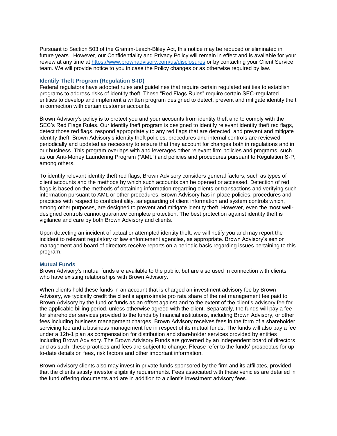Pursuant to Section 503 of the Gramm-Leach-Bliley Act, this notice may be reduced or eliminated in future years. However, our Confidentiality and Privacy Policy will remain in effect and is available for your review at any time at<https://www.brownadvisory.com/us/disclosures> or by contacting your Client Service team. We will provide notice to you in case the Policy changes or as otherwise required by law.

#### **Identify Theft Program (Regulation S-ID)**

Federal regulators have adopted rules and guidelines that require certain regulated entities to establish programs to address risks of identity theft. These "Red Flags Rules" require certain SEC-regulated entities to develop and implement a written program designed to detect, prevent and mitigate identity theft in connection with certain customer accounts.

Brown Advisory's policy is to protect you and your accounts from identity theft and to comply with the SEC's Red Flags Rules. Our identity theft program is designed to identify relevant identity theft red flags, detect those red flags, respond appropriately to any red flags that are detected, and prevent and mitigate identity theft. Brown Advisory's identity theft policies, procedures and internal controls are reviewed periodically and updated as necessary to ensure that they account for changes both in regulations and in our business. This program overlaps with and leverages other relevant firm policies and programs, such as our Anti-Money Laundering Program ("AML") and policies and procedures pursuant to Regulation S-P, among others.

To identify relevant identity theft red flags, Brown Advisory considers general factors, such as types of client accounts and the methods by which such accounts can be opened or accessed. Detection of red flags is based on the methods of obtaining information regarding clients or transactions and verifying such information pursuant to AML or other procedures. Brown Advisory has in place policies, procedures and practices with respect to confidentiality, safeguarding of client information and system controls which, among other purposes, are designed to prevent and mitigate identity theft. However, even the most welldesigned controls cannot guarantee complete protection. The best protection against identity theft is vigilance and care by both Brown Advisory and clients.

Upon detecting an incident of actual or attempted identity theft, we will notify you and may report the incident to relevant regulatory or law enforcement agencies, as appropriate. Brown Advisory's senior management and board of directors receive reports on a periodic basis regarding issues pertaining to this program.

## **Mutual Funds**

Brown Advisory's mutual funds are available to the public, but are also used in connection with clients who have existing relationships with Brown Advisory.

When clients hold these funds in an account that is charged an investment advisory fee by Brown Advisory, we typically credit the client's approximate pro rata share of the net management fee paid to Brown Advisory by the fund or funds as an offset against and to the extent of the client's advisory fee for the applicable billing period, unless otherwise agreed with the client. Separately, the funds will pay a fee for shareholder services provided to the funds by financial institutions, including Brown Advisory, or other fees including business management charges. Brown Advisory receives fees in the form of a shareholder servicing fee and a business management fee in respect of its mutual funds. The funds will also pay a fee under a 12b-1 plan as compensation for distribution and shareholder services provided by entities including Brown Advisory. The Brown Advisory Funds are governed by an independent board of directors and as such, these practices and fees are subject to change. Please refer to the funds' prospectus for upto-date details on fees, risk factors and other important information.

Brown Advisory clients also may invest in private funds sponsored by the firm and its affiliates, provided that the clients satisfy investor eligibility requirements. Fees associated with these vehicles are detailed in the fund offering documents and are in addition to a client's investment advisory fees.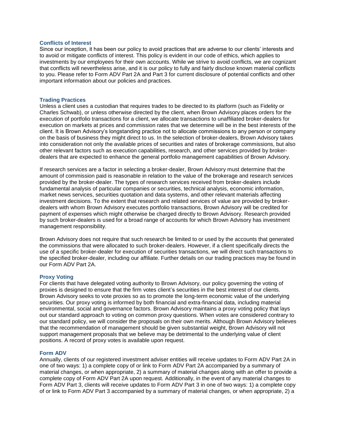#### **Conflicts of Interest**

Since our inception, it has been our policy to avoid practices that are adverse to our clients' interests and to avoid or mitigate conflicts of interest. This policy is evident in our code of ethics, which applies to investments by our employees for their own accounts. While we strive to avoid conflicts, we are cognizant that conflicts will nevertheless arise, and it is our policy to fully and fairly disclose known material conflicts to you. Please refer to Form ADV Part 2A and Part 3 for current disclosure of potential conflicts and other important information about our policies and practices.

#### **Trading Practices**

Unless a client uses a custodian that requires trades to be directed to its platform (such as Fidelity or Charles Schwab), or unless otherwise directed by the client, when Brown Advisory places orders for the execution of portfolio transactions for a client, we allocate transactions to unaffiliated broker-dealers for execution on markets at prices and commission rates that we determine will be in the best interests of the client. It is Brown Advisory's longstanding practice not to allocate commissions to any person or company on the basis of business they might direct to us. In the selection of broker-dealers, Brown Advisory takes into consideration not only the available prices of securities and rates of brokerage commissions, but also other relevant factors such as execution capabilities, research, and other services provided by brokerdealers that are expected to enhance the general portfolio management capabilities of Brown Advisory.

If research services are a factor in selecting a broker-dealer, Brown Advisory must determine that the amount of commission paid is reasonable in relation to the value of the brokerage and research services provided by the broker-dealer. The types of research services received from broker-dealers include fundamental analysis of particular companies or securities, technical analysis, economic information, market news services, securities quotation and data systems, and other relevant materials affecting investment decisions. To the extent that research and related services of value are provided by brokerdealers with whom Brown Advisory executes portfolio transactions, Brown Advisory will be credited for payment of expenses which might otherwise be charged directly to Brown Advisory. Research provided by such broker-dealers is used for a broad range of accounts for which Brown Advisory has investment management responsibility.

Brown Advisory does not require that such research be limited to or used by the accounts that generated the commissions that were allocated to such broker-dealers. However, if a client specifically directs the use of a specific broker-dealer for execution of securities transactions, we will direct such transactions to the specified broker-dealer, including our affiliate. Further details on our trading practices may be found in our Form ADV Part 2A.

#### **Proxy Voting**

For clients that have delegated voting authority to Brown Advisory, our policy governing the voting of proxies is designed to ensure that the firm votes client's securities in the best interest of our clients. Brown Advisory seeks to vote proxies so as to promote the long-term economic value of the underlying securities. Our proxy voting is informed by both financial and extra-financial data, including material environmental, social and governance factors. Brown Advisory maintains a proxy voting policy that lays out our standard approach to voting on common proxy questions. When votes are considered contrary to our standard policy, we will consider the proposals on their own merits. Although Brown Advisory believes that the recommendation of management should be given substantial weight, Brown Advisory will not support management proposals that we believe may be detrimental to the underlying value of client positions. A record of proxy votes is available upon request.

#### **Form ADV**

Annually, clients of our registered investment adviser entities will receive updates to Form ADV Part 2A in one of two ways: 1) a complete copy of or link to Form ADV Part 2A accompanied by a summary of material changes, or when appropriate, 2) a summary of material changes along with an offer to provide a complete copy of Form ADV Part 2A upon request. Additionally, in the event of any material changes to Form ADV Part 3, clients will receive updates to Form ADV Part 3 in one of two ways: 1) a complete copy of or link to Form ADV Part 3 accompanied by a summary of material changes, or when appropriate, 2) a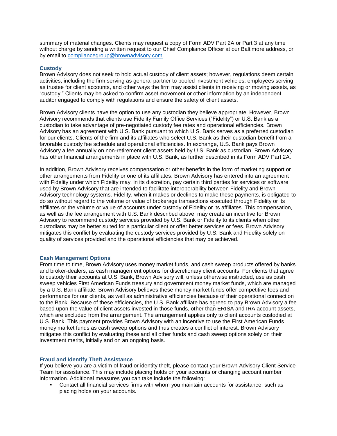summary of material changes. Clients may request a copy of Form ADV Part 2A or Part 3 at any time without charge by sending a written request to our Chief Compliance Officer at our Baltimore address, or by email to [compliancegroup@brownadvisory.com.](file://///bafs/BA%20Shared/Compliance/Annual%20Disclosure/2019/Final%20Drafts%20from%20Messaging/compliancegroup@brownadvisory.com)

# **Custody**

Brown Advisory does not seek to hold actual custody of client assets; however, regulations deem certain activities, including the firm serving as general partner to pooled investment vehicles, employees serving as trustee for client accounts, and other ways the firm may assist clients in receiving or moving assets, as "custody." Clients may be asked to confirm asset movement or other information by an independent auditor engaged to comply with regulations and ensure the safety of client assets.

Brown Advisory clients have the option to use any custodian they believe appropriate. However, Brown Advisory recommends that clients use Fidelity Family Office Services ("Fidelity") or U.S. Bank as a custodian to take advantage of pre-negotiated custody fee rates and operational efficiencies. Brown Advisory has an agreement with U.S. Bank pursuant to which U.S. Bank serves as a preferred custodian for our clients. Clients of the firm and its affiliates who select U.S. Bank as their custodian benefit from a favorable custody fee schedule and operational efficiencies. In exchange, U.S. Bank pays Brown Advisory a fee annually on non-retirement client assets held by U.S. Bank as custodian. Brown Advisory has other financial arrangements in place with U.S. Bank, as further described in its Form ADV Part 2A.

In addition, Brown Advisory receives compensation or other benefits in the form of marketing support or other arrangements from Fidelity or one of its affiliates. Brown Advisory has entered into an agreement with Fidelity under which Fidelity may, in its discretion, pay certain third parties for services or software used by Brown Advisory that are intended to facilitate interoperability between Fidelity and Brown Advisory technology systems. Fidelity, when it makes or declines to make these payments, is obligated to do so without regard to the volume or value of brokerage transactions executed through Fidelity or its affiliates or the volume or value of accounts under custody of Fidelity or its affiliates. This compensation, as well as the fee arrangement with U.S. Bank described above, may create an incentive for Brown Advisory to recommend custody services provided by U.S. Bank or Fidelity to its clients when other custodians may be better suited for a particular client or offer better services or fees. Brown Advisory mitigates this conflict by evaluating the custody services provided by U.S. Bank and Fidelity solely on quality of services provided and the operational efficiencies that may be achieved.

## **Cash Management Options**

From time to time, Brown Advisory uses money market funds, and cash sweep products offered by banks and broker-dealers, as cash management options for discretionary client accounts. For clients that agree to custody their accounts at U.S. Bank, Brown Advisory will, unless otherwise instructed, use as cash sweep vehicles First American Funds treasury and government money market funds, which are managed by a U.S. Bank affiliate. Brown Advisory believes these money market funds offer competitive fees and performance for our clients, as well as administrative efficiencies because of their operational connection to the Bank. Because of these efficiencies, the U.S. Bank affiliate has agreed to pay Brown Advisory a fee based upon the value of client assets invested in those funds, other than ERISA and IRA account assets, which are excluded from the arrangement. The arrangement applies only to client accounts custodied at U.S. Bank. This payment provides Brown Advisory with an incentive to use the First American Funds money market funds as cash sweep options and thus creates a conflict of interest. Brown Advisory mitigates this conflict by evaluating these and all other funds and cash sweep options solely on their investment merits, initially and on an ongoing basis.

## **Fraud and Identify Theft Assistance**

If you believe you are a victim of fraud or identity theft, please contact your Brown Advisory Client Service Team for assistance. This may include placing holds on your accounts or changing account number information. Additional measures you can take include the following:

■ Contact all financial services firms with whom you maintain accounts for assistance, such as placing holds on your accounts.